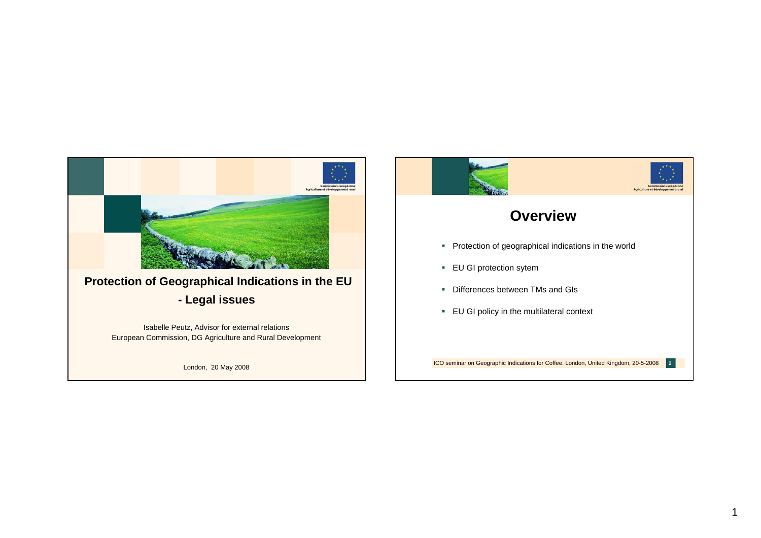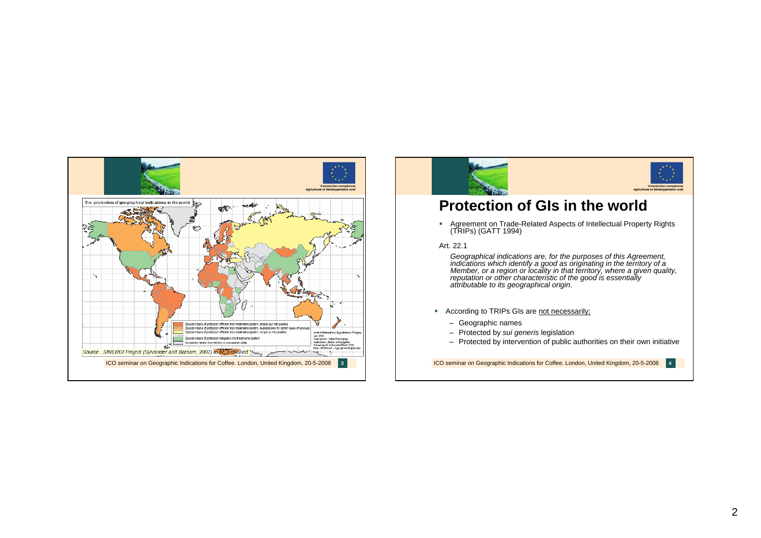





### **Protection of GIs in the world**

Agreement on Trade-Related Aspects of Intellectual Property Rights (TRIPs) (GATT 1994)

#### Art. 22.1

Geographical indications are, for the purposes of this Agreement,<br>indications which identify a good as originating in the territory of a<br>Member, or a region or locality in that territory, where a given quality,<br>reputation *attributable to its geographical origin.*

- According to TRIPs GIs are not necessarily;
	- Geographic names
	- Protected by *sui generis* legislation
	- Protected by intervention of public authorities on their own initiative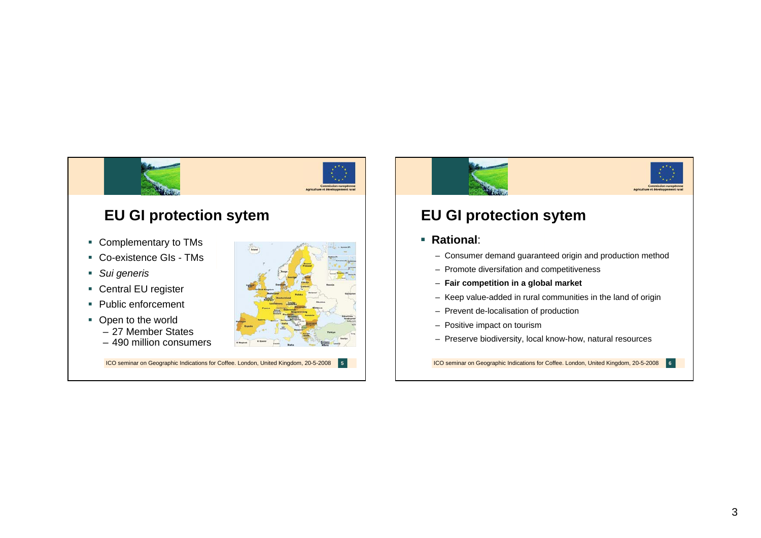

# **EU GI protection sytem**

- Consumer demand guaranteed origin and production method
- Promote diversifation and competitiveness
- **Fair competition in a global market**
- Keep value-added in rural communities in the land of origin
- Prevent de-localisation of production
- Positive impact on tourism
- Preserve biodiversity, local know-how, natural resources

ICO seminar on Geographic Indications for Coffee. London, United Kingdom, 20-5-2008 **<sup>6</sup>**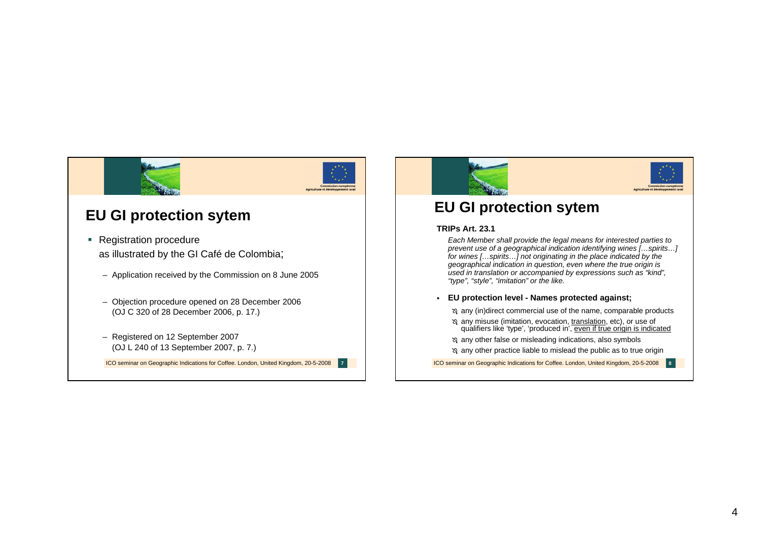

## **EU GI protection sytem**

- Registration procedure as illustrated by the GI Café de Colombia;
	- Application received by the Commission on 8 June 2005
	- Objection procedure opened on 28 December 2006 (OJ C 320 of 28 December 2006, p. 17.)
	- Registered on 12 September 2007 (OJ L 240 of 13 September 2007, p. 7.)

ICO seminar on Geographic Indications for Coffee. London, United Kingdom, 20-5-2008 **<sup>7</sup>**





## **EU GI protection sytem**

#### **TRIPs Art. 23.1**

*Each Member shall provide the legal means for interested parties to prevent use of a geographical indication identifying wines […spirits…] for wines […spirits…] not originating in the place indicated by the geographical indication in question, even where the true origin is used in translation or accompanied by expressions such as "kind", "type", "style", "imitation" or the like.*

#### **EU protection level - Names protected against;**

- º any (in)direct commercial use of the name, comparable products
- º any misuse (imitation, evocation, translation, etc), or use of qualifiers like 'type', 'produced in', even if true origin is indicated
- º any other false or misleading indications, also symbols

º any other practice liable to mislead the public as to true origin

ICO seminar on Geographic Indications for Coffee. London, United Kingdom, 20-5-2008 **<sup>8</sup>**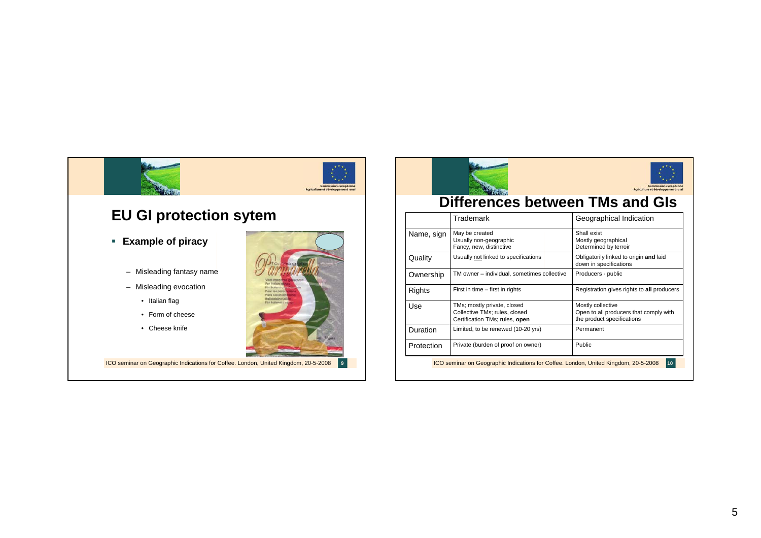





### **Differences between TMs and GIs**

|                                                                                           | Trademark                                                                                      | Geographical Indication                                                                   |
|-------------------------------------------------------------------------------------------|------------------------------------------------------------------------------------------------|-------------------------------------------------------------------------------------------|
| Name, sign                                                                                | May be created<br>Usually non-geographic<br>Fancy, new, distinctive                            | Shall exist<br>Mostly geographical<br>Determined by terroir                               |
| Quality                                                                                   | Usually not linked to specifications                                                           | Obligatorily linked to origin and laid<br>down in specifications                          |
| Ownership                                                                                 | TM owner - individual, sometimes collective                                                    | Producers - public                                                                        |
| Rights                                                                                    | First in time - first in rights                                                                | Registration gives rights to all producers                                                |
| Use                                                                                       | TMs; mostly private, closed<br>Collective TMs; rules, closed<br>Certification TMs; rules, open | Mostly collective<br>Open to all producers that comply with<br>the product specifications |
| Duration                                                                                  | Limited, to be renewed (10-20 yrs)                                                             | Permanent                                                                                 |
| Protection                                                                                | Private (burden of proof on owner)                                                             | <b>Public</b>                                                                             |
| ICO seminar on Geographic Indications for Coffee. London, United Kingdom, 20-5-2008<br>10 |                                                                                                |                                                                                           |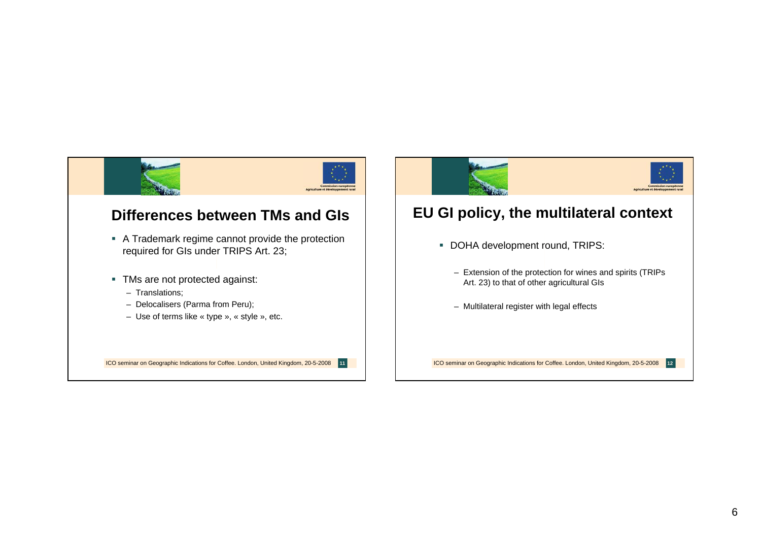